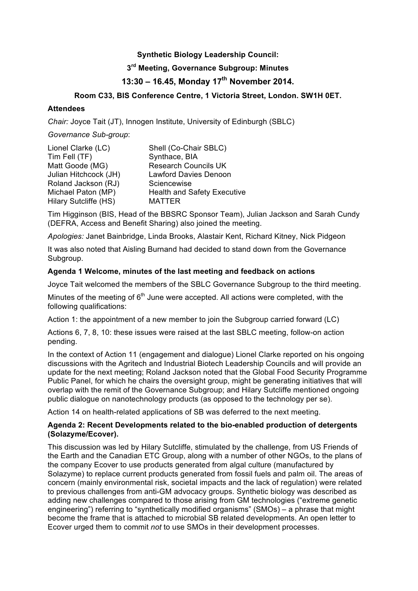## **Synthetic Biology Leadership Council:**

# **3rd Meeting, Governance Subgroup: Minutes**

# **13:30 – 16.45, Monday 17th November 2014.**

# **Room C33, BIS Conference Centre, 1 Victoria Street, London. SW1H 0ET.**

#### **Attendees**

*Chair:* Joyce Tait (JT), Innogen Institute, University of Edinburgh (SBLC)

*Governance Sub-group*:

| Lionel Clarke (LC)    | Shell (Co-Chair SBLC)              |
|-----------------------|------------------------------------|
| Tim Fell (TF)         | Synthace, BIA                      |
| Matt Goode (MG)       | <b>Research Councils UK</b>        |
| Julian Hitchcock (JH) | <b>Lawford Davies Denoon</b>       |
| Roland Jackson (RJ)   | Sciencewise                        |
| Michael Paton (MP)    | <b>Health and Safety Executive</b> |
| Hilary Sutcliffe (HS) | <b>MATTER</b>                      |

Tim Higginson (BIS, Head of the BBSRC Sponsor Team), Julian Jackson and Sarah Cundy (DEFRA, Access and Benefit Sharing) also joined the meeting.

*Apologies:* Janet Bainbridge, Linda Brooks, Alastair Kent, Richard Kitney, Nick Pidgeon

It was also noted that Aisling Burnand had decided to stand down from the Governance Subgroup.

#### **Agenda 1 Welcome, minutes of the last meeting and feedback on actions**

Joyce Tait welcomed the members of the SBLC Governance Subgroup to the third meeting.

Minutes of the meeting of  $6<sup>th</sup>$  June were accepted. All actions were completed, with the following qualifications:

Action 1: the appointment of a new member to join the Subgroup carried forward (LC)

Actions 6, 7, 8, 10: these issues were raised at the last SBLC meeting, follow-on action pending.

In the context of Action 11 (engagement and dialogue) Lionel Clarke reported on his ongoing discussions with the Agritech and Industrial Biotech Leadership Councils and will provide an update for the next meeting; Roland Jackson noted that the Global Food Security Programme Public Panel, for which he chairs the oversight group, might be generating initiatives that will overlap with the remit of the Governance Subgroup; and Hilary Sutcliffe mentioned ongoing public dialogue on nanotechnology products (as opposed to the technology per se).

Action 14 on health-related applications of SB was deferred to the next meeting.

## **Agenda 2: Recent Developments related to the bio-enabled production of detergents (Solazyme/Ecover).**

This discussion was led by Hilary Sutcliffe, stimulated by the challenge, from US Friends of the Earth and the Canadian ETC Group, along with a number of other NGOs, to the plans of the company Ecover to use products generated from algal culture (manufactured by Solazyme) to replace current products generated from fossil fuels and palm oil. The areas of concern (mainly environmental risk, societal impacts and the lack of regulation) were related to previous challenges from anti-GM advocacy groups. Synthetic biology was described as adding new challenges compared to those arising from GM technologies ("extreme genetic engineering") referring to "synthetically modified organisms" (SMOs) – a phrase that might become the frame that is attached to microbial SB related developments. An open letter to Ecover urged them to commit *not* to use SMOs in their development processes.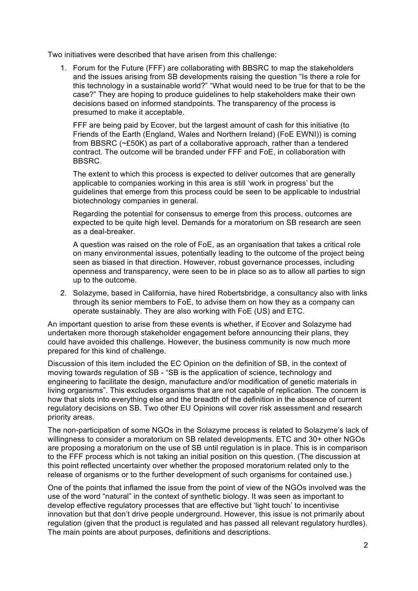Two initiatives were described that have arisen from this challenge:

1. Forum for the Future (FFF) are collaborating with BBSRC to map the stakeholders and the issues arising from SB developments raising the question "Is there a role for this technology in a sustainable world?" "What would need to be true for that to be the case?" They are hoping to produce guidelines to help stakeholders make their own decisions based on informed standpoints. The transparency of the process is presumed to make it acceptable.

FFF are being paid by Ecover, but the largest amount of cash for this initiative (to Friends of the Earth (England, Wales and Northern Ireland) (FoE EWNI)) is coming from BBSRC (~£50K) as part of a collaborative approach, rather than a tendered contract. The outcome will be branded under FFF and FoE, in collaboration with BBSRC.

The extent to which this process is expected to deliver outcomes that are generally applicable to companies working in this area is still 'work in progress' but the guidelines that emerge from this process could be seen to be applicable to industrial biotechnology companies in general.

Regarding the potential for consensus to emerge from this process, outcomes are expected to be quite high level. Demands for a moratorium on SB research are seen as a deal-breaker.

A question was raised on the role of FoE, as an organisation that takes a critical role on many environmental issues, potentially leading to the outcome of the project being seen as biased in that direction. However, robust governance processes, including openness and transparency, were seen to be in place so as to allow all parties to sign up to the outcome.

2. Solazyme, based in California, have hired Robertsbridge, a consultancy also with links through its senior members to FoE, to advise them on how they as a company can operate sustainably. They are also working with FoE (US) and ETC.

An important question to arise from these events is whether, if Ecover and Solazyme had undertaken more thorough stakeholder engagement before announcing their plans, they could have avoided this challenge. However, the business community is now much more prepared for this kind of challenge.

Discussion of this item included the EC Opinion on the definition of SB, in the context of moving towards regulation of SB - "SB is the application of science, technology and engineering to facilitate the design, manufacture and/or modification of genetic materials in living organisms". This excludes organisms that are not capable of replication. The concern is how that slots into everything else and the breadth of the definition in the absence of current regulatory decisions on SB. Two other EU Opinions will cover risk assessment and research priority areas.

The non-participation of some NGOs in the Solazyme process is related to Solazyme's lack of willingness to consider a moratorium on SB related developments. ETC and 30+ other NGOs are proposing a moratorium on the use of SB until regulation is in place. This is in comparison to the FFF process which is not taking an initial position on this question. (The discussion at this point reflected uncertainty over whether the proposed moratorium related only to the release of organisms or to the further development of such organisms for contained use.)

One of the points that inflamed the issue from the point of view of the NGOs involved was the use of the word "natural" in the context of synthetic biology. It was seen as important to develop effective regulatory processes that are effective but 'light touch' to incentivise innovation but that don't drive people underground. However, this issue is not primarily about regulation (given that the product is regulated and has passed all relevant regulatory hurdles). The main points are about purposes, definitions and descriptions.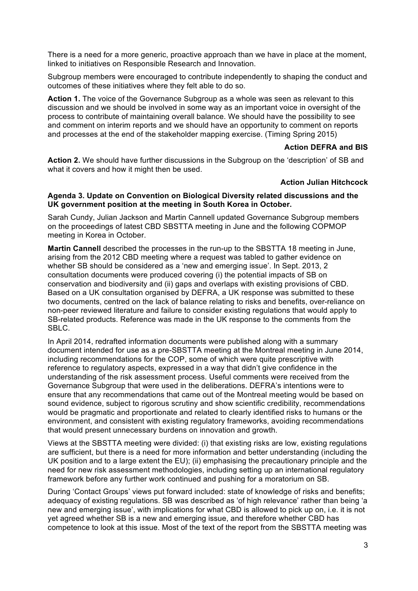There is a need for a more generic, proactive approach than we have in place at the moment, linked to initiatives on Responsible Research and Innovation.

Subgroup members were encouraged to contribute independently to shaping the conduct and outcomes of these initiatives where they felt able to do so.

Action 1. The voice of the Governance Subgroup as a whole was seen as relevant to this discussion and we should be involved in some way as an important voice in oversight of the process to contribute of maintaining overall balance. We should have the possibility to see and comment on interim reports and we should have an opportunity to comment on reports and processes at the end of the stakeholder mapping exercise. (Timing Spring 2015)

#### **Action DEFRA and BIS**

**Action 2.** We should have further discussions in the Subgroup on the 'description' of SB and what it covers and how it might then be used.

## **Action Julian Hitchcock**

#### **Agenda 3. Update on Convention on Biological Diversity related discussions and the UK government position at the meeting in South Korea in October.**

Sarah Cundy, Julian Jackson and Martin Cannell updated Governance Subgroup members on the proceedings of latest CBD SBSTTA meeting in June and the following COPMOP meeting in Korea in October.

**Martin Cannell** described the processes in the run-up to the SBSTTA 18 meeting in June, arising from the 2012 CBD meeting where a request was tabled to gather evidence on whether SB should be considered as a 'new and emerging issue'. In Sept. 2013, 2 consultation documents were produced covering (i) the potential impacts of SB on conservation and biodiversity and (ii) gaps and overlaps with existing provisions of CBD. Based on a UK consultation organised by DEFRA, a UK response was submitted to these two documents, centred on the lack of balance relating to risks and benefits, over-reliance on non-peer reviewed literature and failure to consider existing regulations that would apply to SB-related products. Reference was made in the UK response to the comments from the SBLC.

In April 2014, redrafted information documents were published along with a summary document intended for use as a pre-SBSTTA meeting at the Montreal meeting in June 2014, including recommendations for the COP, some of which were quite prescriptive with reference to regulatory aspects, expressed in a way that didn't give confidence in the understanding of the risk assessment process. Useful comments were received from the Governance Subgroup that were used in the deliberations. DEFRA's intentions were to ensure that any recommendations that came out of the Montreal meeting would be based on sound evidence, subject to rigorous scrutiny and show scientific credibility, recommendations would be pragmatic and proportionate and related to clearly identified risks to humans or the environment, and consistent with existing regulatory frameworks, avoiding recommendations that would present unnecessary burdens on innovation and growth.

Views at the SBSTTA meeting were divided: (i) that existing risks are low, existing regulations are sufficient, but there is a need for more information and better understanding (including the UK position and to a large extent the EU); (ii) emphasising the precautionary principle and the need for new risk assessment methodologies, including setting up an international regulatory framework before any further work continued and pushing for a moratorium on SB.

During 'Contact Groups' views put forward included: state of knowledge of risks and benefits; adequacy of existing regulations. SB was described as 'of high relevance' rather than being 'a new and emerging issue', with implications for what CBD is allowed to pick up on, i.e. it is not yet agreed whether SB is a new and emerging issue, and therefore whether CBD has competence to look at this issue. Most of the text of the report from the SBSTTA meeting was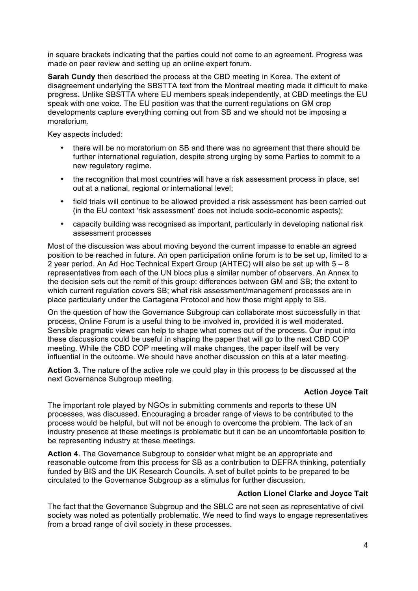in square brackets indicating that the parties could not come to an agreement. Progress was made on peer review and setting up an online expert forum.

**Sarah Cundy** then described the process at the CBD meeting in Korea. The extent of disagreement underlying the SBSTTA text from the Montreal meeting made it difficult to make progress. Unlike SBSTTA where EU members speak independently, at CBD meetings the EU speak with one voice. The EU position was that the current regulations on GM crop developments capture everything coming out from SB and we should not be imposing a moratorium.

Key aspects included:

- there will be no moratorium on SB and there was no agreement that there should be further international regulation, despite strong urging by some Parties to commit to a new regulatory regime.
- the recognition that most countries will have a risk assessment process in place, set out at a national, regional or international level;
- field trials will continue to be allowed provided a risk assessment has been carried out (in the EU context 'risk assessment' does not include socio-economic aspects);
- capacity building was recognised as important, particularly in developing national risk assessment processes

Most of the discussion was about moving beyond the current impasse to enable an agreed position to be reached in future. An open participation online forum is to be set up, limited to a 2 year period. An Ad Hoc Technical Expert Group (AHTEC) will also be set up with 5 – 8 representatives from each of the UN blocs plus a similar number of observers. An Annex to the decision sets out the remit of this group: differences between GM and SB; the extent to which current regulation covers SB; what risk assessment/management processes are in place particularly under the Cartagena Protocol and how those might apply to SB.

On the question of how the Governance Subgroup can collaborate most successfully in that process, Online Forum is a useful thing to be involved in, provided it is well moderated. Sensible pragmatic views can help to shape what comes out of the process. Our input into these discussions could be useful in shaping the paper that will go to the next CBD COP meeting. While the CBD COP meeting will make changes, the paper itself will be very influential in the outcome. We should have another discussion on this at a later meeting.

**Action 3.** The nature of the active role we could play in this process to be discussed at the next Governance Subgroup meeting.

## **Action Joyce Tait**

The important role played by NGOs in submitting comments and reports to these UN processes, was discussed. Encouraging a broader range of views to be contributed to the process would be helpful, but will not be enough to overcome the problem. The lack of an industry presence at these meetings is problematic but it can be an uncomfortable position to be representing industry at these meetings.

**Action 4**. The Governance Subgroup to consider what might be an appropriate and reasonable outcome from this process for SB as a contribution to DEFRA thinking, potentially funded by BIS and the UK Research Councils. A set of bullet points to be prepared to be circulated to the Governance Subgroup as a stimulus for further discussion.

#### **Action Lionel Clarke and Joyce Tait**

The fact that the Governance Subgroup and the SBLC are not seen as representative of civil society was noted as potentially problematic. We need to find ways to engage representatives from a broad range of civil society in these processes.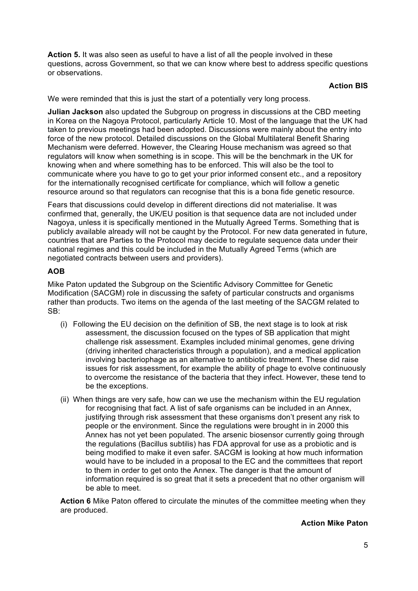**Action 5.** It was also seen as useful to have a list of all the people involved in these questions, across Government, so that we can know where best to address specific questions or observations.

# **Action BIS**

We were reminded that this is just the start of a potentially very long process.

**Julian Jackson** also updated the Subgroup on progress in discussions at the CBD meeting in Korea on the Nagoya Protocol, particularly Article 10. Most of the language that the UK had taken to previous meetings had been adopted. Discussions were mainly about the entry into force of the new protocol. Detailed discussions on the Global Multilateral Benefit Sharing Mechanism were deferred. However, the Clearing House mechanism was agreed so that regulators will know when something is in scope. This will be the benchmark in the UK for knowing when and where something has to be enforced. This will also be the tool to communicate where you have to go to get your prior informed consent etc., and a repository for the internationally recognised certificate for compliance, which will follow a genetic resource around so that regulators can recognise that this is a bona fide genetic resource.

Fears that discussions could develop in different directions did not materialise. It was confirmed that, generally, the UK/EU position is that sequence data are not included under Nagoya, unless it is specifically mentioned in the Mutually Agreed Terms. Something that is publicly available already will not be caught by the Protocol. For new data generated in future, countries that are Parties to the Protocol may decide to regulate sequence data under their national regimes and this could be included in the Mutually Agreed Terms (which are negotiated contracts between users and providers).

# **AOB**

Mike Paton updated the Subgroup on the Scientific Advisory Committee for Genetic Modification (SACGM) role in discussing the safety of particular constructs and organisms rather than products. Two items on the agenda of the last meeting of the SACGM related to SB:

- (i) Following the EU decision on the definition of SB, the next stage is to look at risk assessment, the discussion focused on the types of SB application that might challenge risk assessment. Examples included minimal genomes, gene driving (driving inherited characteristics through a population), and a medical application involving bacteriophage as an alternative to antibiotic treatment. These did raise issues for risk assessment, for example the ability of phage to evolve continuously to overcome the resistance of the bacteria that they infect. However, these tend to be the exceptions.
- (ii) When things are very safe, how can we use the mechanism within the EU regulation for recognising that fact. A list of safe organisms can be included in an Annex, justifying through risk assessment that these organisms don't present any risk to people or the environment. Since the regulations were brought in in 2000 this Annex has not yet been populated. The arsenic biosensor currently going through the regulations (Bacillus subtilis) has FDA approval for use as a probiotic and is being modified to make it even safer. SACGM is looking at how much information would have to be included in a proposal to the EC and the committees that report to them in order to get onto the Annex. The danger is that the amount of information required is so great that it sets a precedent that no other organism will be able to meet.

**Action 6** Mike Paton offered to circulate the minutes of the committee meeting when they are produced.

#### **Action Mike Paton**